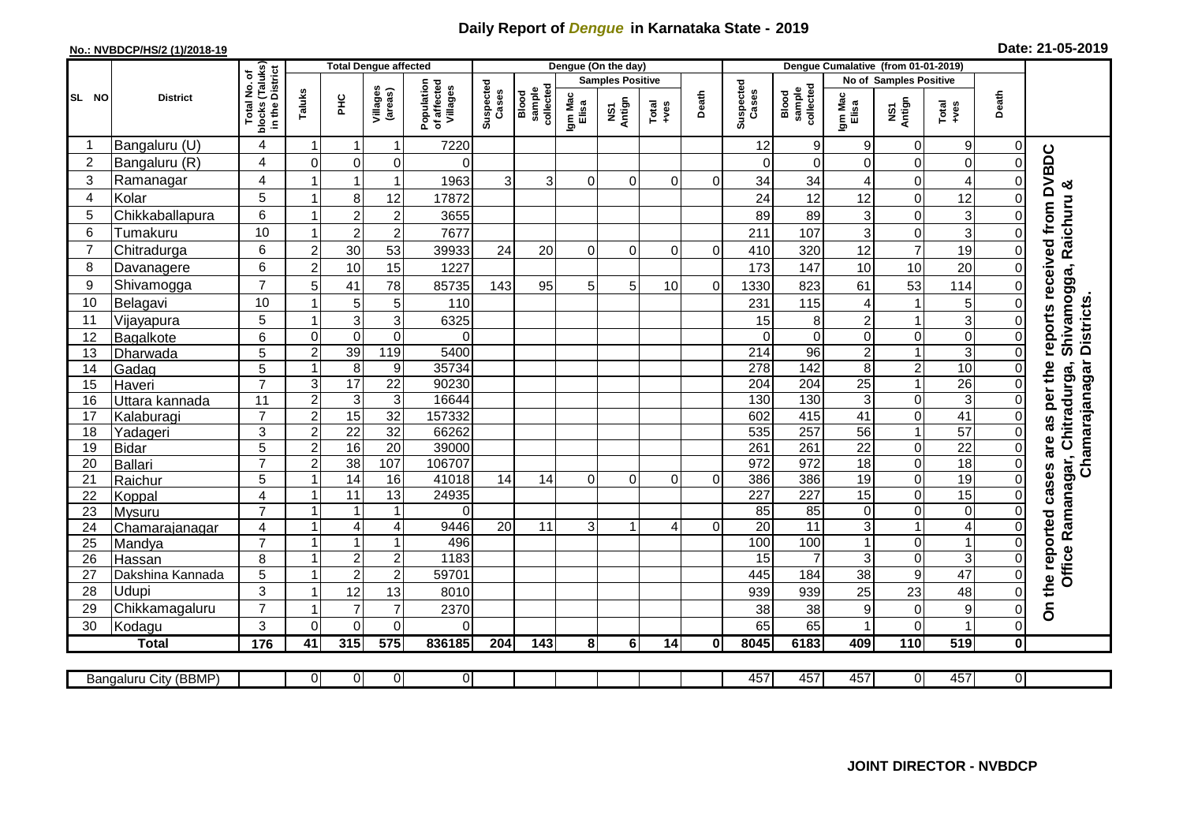## **Daily Report of** *Dengue* **in Karnataka State - 2019**

## **No.: NVBDCP/HS/2 (1)/2018-19**

| Date: 21-05-2019 |  |  |  |  |
|------------------|--|--|--|--|
|------------------|--|--|--|--|

|                |                            |                                                    | <b>Total Dengue affected</b>   |                           |                     |                                       | Dengue (On the day) |                              |                  |                         |               |                | Dengue Cumalative (from 01-01-2019) |                              |                  |                               |                                  |                |                                                         |
|----------------|----------------------------|----------------------------------------------------|--------------------------------|---------------------------|---------------------|---------------------------------------|---------------------|------------------------------|------------------|-------------------------|---------------|----------------|-------------------------------------|------------------------------|------------------|-------------------------------|----------------------------------|----------------|---------------------------------------------------------|
|                |                            |                                                    |                                |                           |                     |                                       |                     |                              |                  | <b>Samples Positive</b> |               |                |                                     |                              |                  | <b>No of Samples Positive</b> |                                  |                |                                                         |
| <b>SL NO</b>   | <b>District</b>            | Total No. of<br>blocks (Taluks)<br>in the District | Taluks                         | E                         | Villages<br>(areas) | Population<br>of affected<br>Villages | Suspected<br>Cases  | sample<br>collected<br>Blood | Igm Mac<br>Elisa | NS1<br>Antign           | Total<br>+ves | Death          | Suspected<br>Cases                  | collected<br>sample<br>Blood | Igm Mac<br>Elisa | NS1<br>Antign                 | Total<br>$+ves$                  | Death          |                                                         |
| -1             | Bangaluru (U)              | 4                                                  | $\mathbf 1$                    | -1                        | 1                   | 7220                                  |                     |                              |                  |                         |               |                | 12                                  | 9                            | 9                | 0                             | 9                                | 0              |                                                         |
| $\overline{2}$ | Bangaluru (R)              | 4                                                  | $\mathbf 0$                    | $\mathbf 0$               | 0                   | $\Omega$                              |                     |                              |                  |                         |               |                | $\Omega$                            | 0                            | 0                | 0                             | $\pmb{0}$                        | $\Omega$       |                                                         |
| 3              | Ramanagar                  | 4                                                  |                                | $\overline{1}$            | 1                   | 1963                                  | 3                   | $\overline{3}$               | $\Omega$         | $\Omega$                | $\Omega$      | $\Omega$       | 34                                  | 34                           | 4                | $\Omega$                      | $\overline{A}$                   | O              | received from DVBDC                                     |
| $\overline{4}$ | Kolar                      | 5                                                  | $\overline{1}$                 | 8                         | 12                  | 17872                                 |                     |                              |                  |                         |               |                | 24                                  | 12                           | 12               | $\mathbf 0$                   | 12                               |                |                                                         |
| 5              | Chikkaballapura            | 6                                                  | $\overline{1}$                 | $\overline{2}$            | $\overline{c}$      | 3655                                  |                     |                              |                  |                         |               |                | 89                                  | 89                           | 3                | $\mathbf 0$                   | $\mathbf{3}$                     | 0              |                                                         |
| 6              | Tumakuru                   | 10                                                 | $\mathbf{1}$                   | $\overline{c}$            | $\overline{c}$      | 7677                                  |                     |                              |                  |                         |               |                | 211                                 | 107                          | 3                | 0                             | $\mathbf{3}$                     | 0              |                                                         |
| $\overline{7}$ | Chitradurga                | 6                                                  | $\overline{2}$                 | 30                        | 53                  | 39933                                 | 24                  | 20                           | $\Omega$         | $\Omega$                | $\Omega$      | $\Omega$       | 410                                 | 320                          | 12               | $\overline{7}$                | 19                               | 0              |                                                         |
| 8              | Davanagere                 | 6                                                  | $\overline{2}$                 | 10                        | 15                  | 1227                                  |                     |                              |                  |                         |               |                | 173                                 | 147                          | 10               | 10                            | $\overline{20}$                  | 0              |                                                         |
| 9              | Shivamogga                 | $\overline{7}$                                     | 5                              | 41                        | 78                  | 85735                                 | 143                 | 95                           | 5                | 5                       | 10            | $\overline{0}$ | 1330                                | 823                          | 61               | 53                            | 114                              |                | Shivamogga, Raichuru &                                  |
| 10             | Belagavi                   | 10                                                 |                                | 5                         | 5                   | 110                                   |                     |                              |                  |                         |               |                | 231                                 | 115                          | 4                | $\mathbf 1$                   | $\overline{5}$                   |                |                                                         |
| 11             | Vijayapura                 | 5                                                  |                                | $\mathbf{3}$              | 3                   | 6325                                  |                     |                              |                  |                         |               |                | 15                                  | 8                            | $\overline{c}$   | $\overline{1}$                | 3                                |                | <b>Districts</b><br>reports                             |
| 12             | Bagalkote                  | 6                                                  | $\mathbf 0$                    | $\mathbf 0$               | $\mathbf 0$         | $\Omega$                              |                     |                              |                  |                         |               |                | $\Omega$                            | $\mathbf 0$                  | 0                | $\mathbf 0$                   | $\mathbf 0$                      | $\Omega$       |                                                         |
| 13             | Dharwada                   | $\overline{5}$                                     | $\overline{2}$                 | 39                        | 119                 | 5400                                  |                     |                              |                  |                         |               |                | 214                                 | 96                           | $\overline{2}$   | $\overline{1}$                | $\overline{3}$                   | $\mathbf 0$    |                                                         |
| 14             | Gadag                      | 5                                                  | 1                              | $\overline{8}$            | $\boldsymbol{9}$    | 35734                                 |                     |                              |                  |                         |               |                | $\overline{278}$                    | 142                          | 8                | $\overline{2}$                | 10                               | $\Omega$       |                                                         |
| 15             | Haveri                     | $\overline{7}$                                     | 3                              | 17                        | $\overline{22}$     | 90230                                 |                     |                              |                  |                         |               |                | $\overline{204}$                    | 204                          | $\overline{25}$  | $\mathbf{1}$                  | 26                               | $\Omega$       |                                                         |
| 16             | <u>Uttara kannada</u>      | 11                                                 | $\overline{2}$                 | $\ensuremath{\mathsf{3}}$ | 3                   | 16644                                 |                     |                              |                  |                         |               |                | 130                                 | 130                          | 3                | 0                             | 3                                | 0              | Chamarajanagar<br>as per the<br>Ramanagar, Chitradurga, |
| 17             | Kalaburagi                 | $\overline{7}$                                     | $\overline{c}$                 | 15                        | $\overline{32}$     | 157332                                |                     |                              |                  |                         |               |                | 602                                 | 415                          | 41               | 0                             | 41                               | $\Omega$       |                                                         |
| 18             | Yadageri                   | 3                                                  | $\overline{2}$                 | $\overline{22}$           | $\overline{32}$     | 66262                                 |                     |                              |                  |                         |               |                | 535                                 | 257                          | $\overline{56}$  | $\mathbf{1}$                  | 57                               | $\Omega$       |                                                         |
| 19             | <b>Bidar</b>               | 5                                                  | $\overline{2}$                 | 16                        | $\overline{20}$     | 39000                                 |                     |                              |                  |                         |               |                | 261                                 | 261                          | $\overline{22}$  | $\overline{0}$                | $\overline{22}$                  | $\Omega$       | are                                                     |
| 20             | Ballari                    | $\overline{7}$                                     | $\overline{2}$                 | 38                        | 107                 | 106707                                |                     |                              |                  |                         |               |                | 972                                 | 972                          | 18               | $\overline{0}$                | 18                               | $\Omega$       |                                                         |
| 21             | Raichur                    | 5                                                  | $\overline{\mathbf{1}}$        | $\overline{14}$           | 16                  | 41018                                 | 14                  | 14                           | $\Omega$         | $\Omega$                | $\Omega$      | $\Omega$       | 386                                 | 386                          | $\overline{19}$  | $\overline{0}$                | 19                               | $\Omega$       |                                                         |
| 22             | Koppal                     | $\overline{4}$                                     | $\overline{1}$                 | $\overline{11}$           | $\overline{13}$     | 24935                                 |                     |                              |                  |                         |               |                | $\overline{227}$                    | 227                          | $\overline{15}$  | $\overline{0}$                | 15                               | $\Omega$       |                                                         |
| 23             | Mysuru                     | $\overline{7}$                                     | $\overline{1}$                 | $\overline{\mathbf{1}}$   | 1                   | $\Omega$                              |                     |                              |                  |                         |               |                | 85                                  | 85<br>11                     | 0                | $\mathbf 0$                   | $\pmb{0}$                        | $\Omega$       |                                                         |
| 24             | Chamarajanagar             | 4<br>$\overline{7}$                                | $\mathbf{1}$<br>$\overline{1}$ | 4<br>$\mathbf{1}$         | 4<br>1              | 9446<br>496                           | 20                  | 11                           | 3                |                         | 4             | $\Omega$       | $\overline{20}$<br>100              | 100                          | 3<br>1           | $\mathbf{1}$<br>0             | $\overline{4}$<br>$\overline{1}$ | $\Omega$<br>0  |                                                         |
| 25<br>26       | Mandya                     | 8                                                  | $\overline{\mathbf{1}}$        | $\overline{2}$            | $\overline{c}$      | 1183                                  |                     |                              |                  |                         |               |                | 15                                  | 7                            | 3                | $\mathbf 0$                   | 3                                | $\Omega$       |                                                         |
| 27             | Hassan<br>Dakshina Kannada | 5                                                  | $\overline{\mathbf{1}}$        | $\overline{2}$            | $\overline{2}$      | 59701                                 |                     |                              |                  |                         |               |                | 445                                 | 184                          | 38               | $\boldsymbol{9}$              | 47                               | $\Omega$       | Office                                                  |
| 28             | Udupi                      | 3                                                  | $\overline{\mathbf{1}}$        | 12                        | 13                  | 8010                                  |                     |                              |                  |                         |               |                | 939                                 | 939                          | 25               | 23                            | 48                               | 0              |                                                         |
| 29             | Chikkamagaluru             | $\overline{7}$                                     |                                | $\overline{7}$            | $\overline{7}$      | 2370                                  |                     |                              |                  |                         |               |                | 38                                  | 38                           | 9                | $\mathsf 0$                   | 9                                | O              | On the reported cases                                   |
| 30             | Kodagu                     | 3                                                  | $\Omega$                       | $\Omega$                  | 0                   | $\Omega$                              |                     |                              |                  |                         |               |                | 65                                  | 65                           | 1                | $\overline{0}$                | 1                                | 0              |                                                         |
|                | <b>Total</b>               | $\frac{1}{176}$                                    | 41                             | 315                       | 575                 | 836185                                | 204                 | $\frac{1}{143}$              | 8                | 6                       | 14            | $\mathbf{0}$   | 8045                                | 6183                         | 409              | 110                           | 519                              | 0              |                                                         |
|                |                            |                                                    |                                |                           |                     |                                       |                     |                              |                  |                         |               |                |                                     |                              |                  |                               |                                  |                |                                                         |
|                | Bangaluru City (BBMP)      |                                                    | $\overline{0}$                 | $\overline{0}$            | 0                   | $\overline{0}$                        |                     |                              |                  |                         |               |                | 457                                 | 457                          | 457              | $\overline{0}$                | 457                              | $\overline{0}$ |                                                         |